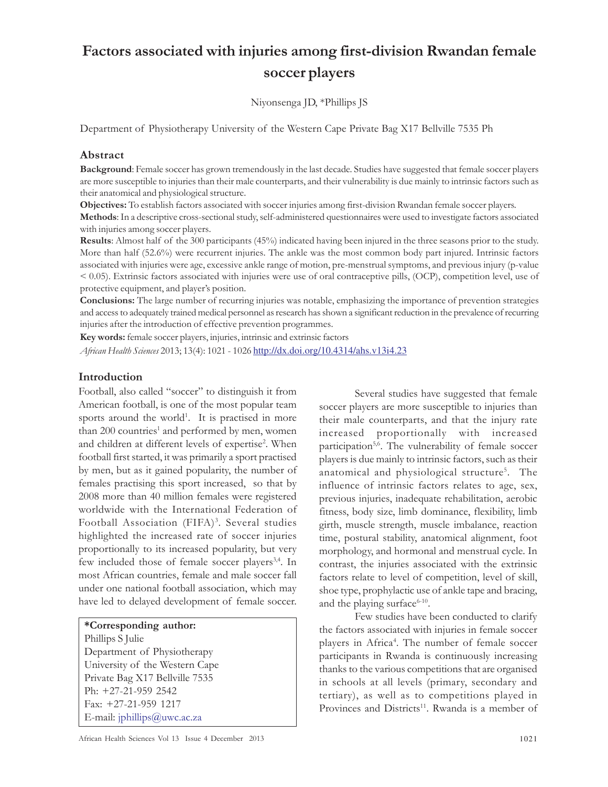# Factors associated with injuries among first-division Rwandan female soccer players

Niyonsenga JD, \*Phillips JS

Department of Physiotherapy University of the Western Cape Private Bag X17 Bellville 7535 Ph

### Abstract

Background: Female soccer has grown tremendously in the last decade. Studies have suggested that female soccer players are more susceptible to injuries than their male counterparts, and their vulnerability is due mainly to intrinsic factors such as their anatomical and physiological structure.

Objectives: To establish factors associated with soccer injuries among first-division Rwandan female soccer players.

Methods: In a descriptive cross-sectional study, self-administered questionnaires were used to investigate factors associated with injuries among soccer players.

Results: Almost half of the 300 participants (45%) indicated having been injured in the three seasons prior to the study. More than half (52.6%) were recurrent injuries. The ankle was the most common body part injured. Intrinsic factors associated with injuries were age, excessive ankle range of motion, pre-menstrual symptoms, and previous injury (p-value < 0.05). Extrinsic factors associated with injuries were use of oral contraceptive pills, (OCP), competition level, use of protective equipment, and player's position.

Conclusions: The large number of recurring injuries was notable, emphasizing the importance of prevention strategies and access to adequately trained medical personnel as research has shown a significant reduction in the prevalence of recurring injuries after the introduction of effective prevention programmes.

Key words: female soccer players, injuries, intrinsic and extrinsic factors

African Health Sciences 2013; 13(4): 1021 - 1026 http://dx.doi.org/10.4314/ahs.v13i4.23

### Introduction

Football, also called "soccer" to distinguish it from American football, is one of the most popular team sports around the world<sup>1</sup>. It is practised in more than 200 countries<sup>1</sup> and performed by men, women and children at different levels of expertise<sup>2</sup>. When football first started, it was primarily a sport practised by men, but as it gained popularity, the number of females practising this sport increased, so that by 2008 more than 40 million females were registered worldwide with the International Federation of Football Association (FIFA)<sup>3</sup>. Several studies highlighted the increased rate of soccer injuries proportionally to its increased popularity, but very few included those of female soccer players<sup>3,4</sup>. In most African countries, female and male soccer fall under one national football association, which may have led to delayed development of female soccer.

#### \*Corresponding author:

Phillips S Julie Department of Physiotherapy University of the Western Cape Private Bag X17 Bellville 7535 Ph: +27-21-959 2542 Fax: +27-21-959 1217 E-mail: jphillips@uwc.ac.za

Several studies have suggested that female soccer players are more susceptible to injuries than their male counterparts, and that the injury rate increased proportionally with increased participation<sup>5,6</sup>. The vulnerability of female soccer players is due mainly to intrinsic factors, such as their anatomical and physiological structure<sup>5</sup> . The influence of intrinsic factors relates to age, sex, previous injuries, inadequate rehabilitation, aerobic fitness, body size, limb dominance, flexibility, limb girth, muscle strength, muscle imbalance, reaction time, postural stability, anatomical alignment, foot morphology, and hormonal and menstrual cycle. In contrast, the injuries associated with the extrinsic factors relate to level of competition, level of skill, shoe type, prophylactic use of ankle tape and bracing, and the playing surface<sup>6-10</sup>.

Few studies have been conducted to clarify the factors associated with injuries in female soccer players in Africa<sup>4</sup>. The number of female soccer participants in Rwanda is continuously increasing thanks to the various competitions that are organised in schools at all levels (primary, secondary and tertiary), as well as to competitions played in Provinces and Districts<sup>11</sup>. Rwanda is a member of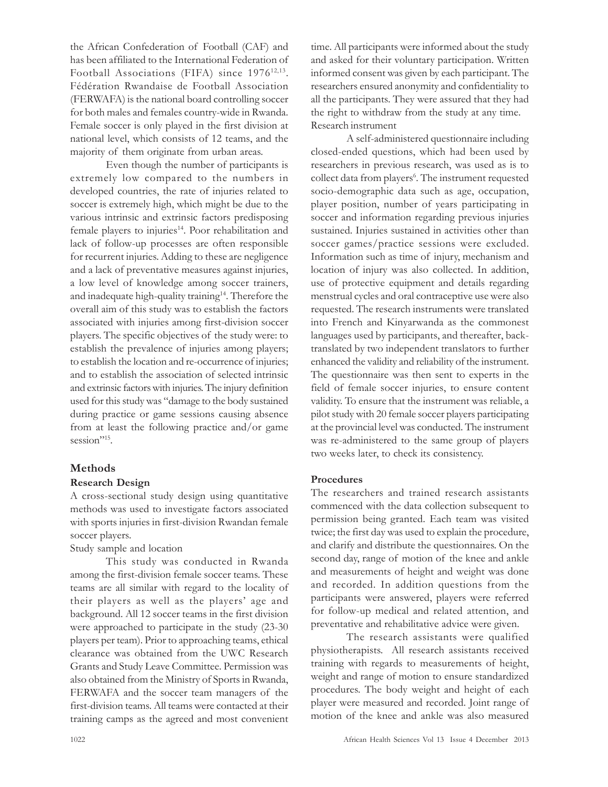the African Confederation of Football (CAF) and has been affiliated to the International Federation of Football Associations (FIFA) since 1976<sup>12,13</sup>. Fédération Rwandaise de Football Association (FERWAFA) is the national board controlling soccer for both males and females country-wide in Rwanda. Female soccer is only played in the first division at national level, which consists of 12 teams, and the majority of them originate from urban areas.

Even though the number of participants is extremely low compared to the numbers in developed countries, the rate of injuries related to soccer is extremely high, which might be due to the various intrinsic and extrinsic factors predisposing female players to injuries<sup>14</sup>. Poor rehabilitation and lack of follow-up processes are often responsible for recurrent injuries. Adding to these are negligence and a lack of preventative measures against injuries, a low level of knowledge among soccer trainers, and inadequate high-quality training<sup>14</sup>. Therefore the overall aim of this study was to establish the factors associated with injuries among first-division soccer players. The specific objectives of the study were: to establish the prevalence of injuries among players; to establish the location and re-occurrence of injuries; and to establish the association of selected intrinsic and extrinsic factors with injuries. The injury definition used for this study was "damage to the body sustained during practice or game sessions causing absence from at least the following practice and/or game session"<sup>15</sup>.

## Methods

## Research Design

A cross-sectional study design using quantitative methods was used to investigate factors associated with sports injuries in first-division Rwandan female soccer players.

Study sample and location

This study was conducted in Rwanda among the first-division female soccer teams. These teams are all similar with regard to the locality of their players as well as the players' age and background. All 12 soccer teams in the first division were approached to participate in the study (23-30 players per team). Prior to approaching teams, ethical clearance was obtained from the UWC Research Grants and Study Leave Committee. Permission was also obtained from the Ministry of Sports in Rwanda, FERWAFA and the soccer team managers of the first-division teams. All teams were contacted at their training camps as the agreed and most convenient time. All participants were informed about the study and asked for their voluntary participation. Written informed consent was given by each participant. The researchers ensured anonymity and confidentiality to all the participants. They were assured that they had the right to withdraw from the study at any time. Research instrument

A self-administered questionnaire including closed-ended questions, which had been used by researchers in previous research, was used as is to collect data from players<sup>6</sup>. The instrument requested socio-demographic data such as age, occupation, player position, number of years participating in soccer and information regarding previous injuries sustained. Injuries sustained in activities other than soccer games/practice sessions were excluded. Information such as time of injury, mechanism and location of injury was also collected. In addition, use of protective equipment and details regarding menstrual cycles and oral contraceptive use were also requested. The research instruments were translated into French and Kinyarwanda as the commonest languages used by participants, and thereafter, backtranslated by two independent translators to further enhanced the validity and reliability of the instrument. The questionnaire was then sent to experts in the field of female soccer injuries, to ensure content validity. To ensure that the instrument was reliable, a pilot study with 20 female soccer players participating at the provincial level was conducted. The instrument was re-administered to the same group of players two weeks later, to check its consistency.

#### Procedures

The researchers and trained research assistants commenced with the data collection subsequent to permission being granted. Each team was visited twice; the first day was used to explain the procedure, and clarify and distribute the questionnaires. On the second day, range of motion of the knee and ankle and measurements of height and weight was done and recorded. In addition questions from the participants were answered, players were referred for follow-up medical and related attention, and preventative and rehabilitative advice were given.

The research assistants were qualified physiotherapists. All research assistants received training with regards to measurements of height, weight and range of motion to ensure standardized procedures. The body weight and height of each player were measured and recorded. Joint range of motion of the knee and ankle was also measured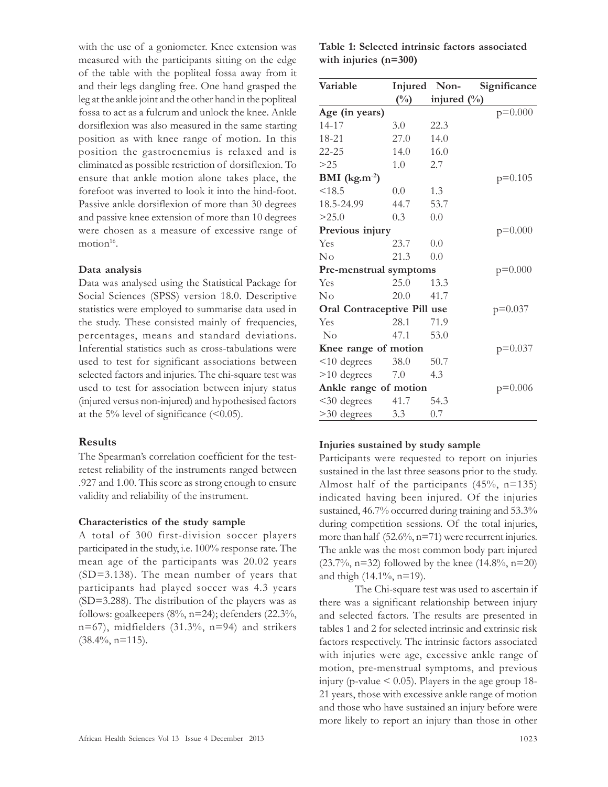with the use of a goniometer. Knee extension was measured with the participants sitting on the edge of the table with the popliteal fossa away from it and their legs dangling free. One hand grasped the leg at the ankle joint and the other hand in the popliteal fossa to act as a fulcrum and unlock the knee. Ankle dorsiflexion was also measured in the same starting position as with knee range of motion. In this position the gastrocnemius is relaxed and is eliminated as possible restriction of dorsiflexion. To ensure that ankle motion alone takes place, the forefoot was inverted to look it into the hind-foot. Passive ankle dorsiflexion of more than 30 degrees and passive knee extension of more than 10 degrees were chosen as a measure of excessive range of motion<sup>16</sup>.

#### Data analysis

Data was analysed using the Statistical Package for Social Sciences (SPSS) version 18.0. Descriptive statistics were employed to summarise data used in the study. These consisted mainly of frequencies, percentages, means and standard deviations. Inferential statistics such as cross-tabulations were used to test for significant associations between selected factors and injuries. The chi-square test was used to test for association between injury status (injured versus non-injured) and hypothesised factors at the  $5\%$  level of significance (<0.05).

#### Results

The Spearman's correlation coefficient for the testretest reliability of the instruments ranged between .927 and 1.00. This score as strong enough to ensure validity and reliability of the instrument.

#### Characteristics of the study sample

A total of 300 first-division soccer players participated in the study, i.e. 100% response rate. The mean age of the participants was 20.02 years (SD=3.138). The mean number of years that participants had played soccer was 4.3 years (SD=3.288). The distribution of the players was as follows: goalkeepers  $(8\%, n=24)$ ; defenders  $(22.3\%,$ n=67), midfielders (31.3%, n=94) and strikers  $(38.4\%, n=115)$ .

| Table 1: Selected intrinsic factors associated |  |
|------------------------------------------------|--|
| with injuries $(n=300)$                        |  |

| Variable                    |                | Injured Non-   | Significance |
|-----------------------------|----------------|----------------|--------------|
|                             | $\binom{0}{0}$ | injured $(\%)$ |              |
| Age (in years)              |                |                | $p=0.000$    |
| 14-17                       | 3.0            | 22.3           |              |
| $18 - 21$                   | 27.0           | 14.0           |              |
| $22 - 25$                   | 14.0           | 16.0           |              |
| >25                         | 1.0            | 2.7            |              |
| BMI (kg.m <sup>-2</sup> )   |                |                | $p=0.105$    |
| < 18.5                      | 0.0            | 1.3            |              |
| 18.5-24.99                  | 44.7           | 53.7           |              |
| >25.0                       | 0.3            | 0.0            |              |
| Previous injury             |                |                | $p=0.000$    |
| Yes                         | 23.7           | 0.0            |              |
| $\rm No$                    | 21.3           | 0.0            |              |
| Pre-menstrual symptoms      | $p=0.000$      |                |              |
| Yes                         | 25.0           | 13.3           |              |
| No                          | 20.0           | 41.7           |              |
| Oral Contraceptive Pill use | $p=0.037$      |                |              |
| Yes                         | 28.1           | 71.9           |              |
| $\rm No$                    | 47.1           | 53.0           |              |
| Knee range of motion        | $p=0.037$      |                |              |
| <10 degrees                 | 38.0           | 50.7           |              |
| $>10$ degrees               | 7.0            | 4.3            |              |
| Ankle range of motion       | $p=0.006$      |                |              |
| $30$ degrees                | 41.7           | 54.3           |              |
| >30 degrees                 | 3.3            | 0.7            |              |

#### Injuries sustained by study sample

Participants were requested to report on injuries sustained in the last three seasons prior to the study. Almost half of the participants  $(45\%, n=135)$ indicated having been injured. Of the injuries sustained, 46.7% occurred during training and 53.3% during competition sessions. Of the total injuries, more than half (52.6%, n=71) were recurrent injuries. The ankle was the most common body part injured (23.7%, n=32) followed by the knee  $(14.8\%, n=20)$ and thigh  $(14.1\%, n=19)$ .

The Chi-square test was used to ascertain if there was a significant relationship between injury and selected factors. The results are presented in tables 1 and 2 for selected intrinsic and extrinsic risk factors respectively. The intrinsic factors associated with injuries were age, excessive ankle range of motion, pre-menstrual symptoms, and previous injury (p-value  $\leq$  0.05). Players in the age group 18-21 years, those with excessive ankle range of motion and those who have sustained an injury before were more likely to report an injury than those in other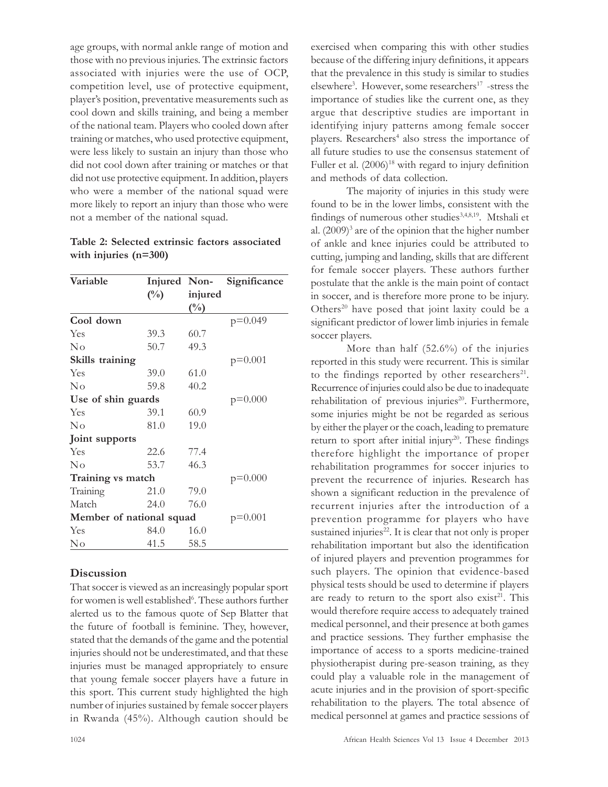age groups, with normal ankle range of motion and those with no previous injuries. The extrinsic factors associated with injuries were the use of OCP, competition level, use of protective equipment, player's position, preventative measurements such as cool down and skills training, and being a member of the national team. Players who cooled down after training or matches, who used protective equipment, were less likely to sustain an injury than those who did not cool down after training or matches or that did not use protective equipment. In addition, players who were a member of the national squad were more likely to report an injury than those who were not a member of the national squad.

|  |                         |  | Table 2: Selected extrinsic factors associated |
|--|-------------------------|--|------------------------------------------------|
|  | with injuries $(n=300)$ |  |                                                |

| Variable                 | Injured Non-   |         | Significance |  |  |
|--------------------------|----------------|---------|--------------|--|--|
|                          | $\binom{0}{0}$ | injured |              |  |  |
|                          |                | $(\%)$  |              |  |  |
| Cool down                |                |         | $p=0.049$    |  |  |
| Yes                      | 39.3           | 60.7    |              |  |  |
| No                       | 50.7           | 49.3    |              |  |  |
| Skills training          |                |         | $p=0.001$    |  |  |
| Yes                      | 39.0           | 61.0    |              |  |  |
| $N_{\Omega}$             | 59.8           | 40.2    |              |  |  |
| Use of shin guards       | $p=0.000$      |         |              |  |  |
| Yes                      | 39.1           | 60.9    |              |  |  |
| No                       | 81.0           | 19.0    |              |  |  |
| Joint supports           |                |         |              |  |  |
| Yes                      | 22.6           | 77.4    |              |  |  |
| No                       | 53.7           | 46.3    |              |  |  |
| Training vs match        | $p=0.000$      |         |              |  |  |
| Training                 | 21.0           | 79.0    |              |  |  |
| Match                    | 24.0           | 76.0    |              |  |  |
| Member of national squad | $p=0.001$      |         |              |  |  |
| Yes                      | 84.0           | 16.0    |              |  |  |
| Nο                       | 41.5           | 58.5    |              |  |  |

## **Discussion**

That soccer is viewed as an increasingly popular sport for women is well established<sup>6</sup>. These authors further alerted us to the famous quote of Sep Blatter that the future of football is feminine. They, however, stated that the demands of the game and the potential injuries should not be underestimated, and that these injuries must be managed appropriately to ensure that young female soccer players have a future in this sport. This current study highlighted the high number of injuries sustained by female soccer players in Rwanda (45%). Although caution should be exercised when comparing this with other studies because of the differing injury definitions, it appears that the prevalence in this study is similar to studies elsewhere<sup>3</sup>. However, some researchers<sup>17</sup> -stress the importance of studies like the current one, as they argue that descriptive studies are important in identifying injury patterns among female soccer players. Researchers 4 also stress the importance of all future studies to use the consensus statement of Fuller et al.  $(2006)^{18}$  with regard to injury definition and methods of data collection.

The majority of injuries in this study were found to be in the lower limbs, consistent with the findings of numerous other studies<sup>3,4,8,19</sup>. Mtshali et al. (2009)<sup>3</sup> are of the opinion that the higher number of ankle and knee injuries could be attributed to cutting, jumping and landing, skills that are different for female soccer players. These authors further postulate that the ankle is the main point of contact in soccer, and is therefore more prone to be injury. Others<sup>20</sup> have posed that joint laxity could be a significant predictor of lower limb injuries in female soccer players.

More than half (52.6%) of the injuries reported in this study were recurrent. This is similar to the findings reported by other researchers<sup>21</sup>. Recurrence of injuries could also be due to inadequate rehabilitation of previous injuries<sup>20</sup>. Furthermore, some injuries might be not be regarded as serious by either the player or the coach, leading to premature return to sport after initial injury<sup>20</sup>. These findings therefore highlight the importance of proper rehabilitation programmes for soccer injuries to prevent the recurrence of injuries. Research has shown a significant reduction in the prevalence of recurrent injuries after the introduction of a prevention programme for players who have sustained injuries $^{22}$ . It is clear that not only is proper rehabilitation important but also the identification of injured players and prevention programmes for such players. The opinion that evidence-based physical tests should be used to determine if players are ready to return to the sport also  $exist^{21}$ . This would therefore require access to adequately trained medical personnel, and their presence at both games and practice sessions. They further emphasise the importance of access to a sports medicine-trained physiotherapist during pre-season training, as they could play a valuable role in the management of acute injuries and in the provision of sport-specific rehabilitation to the players. The total absence of medical personnel at games and practice sessions of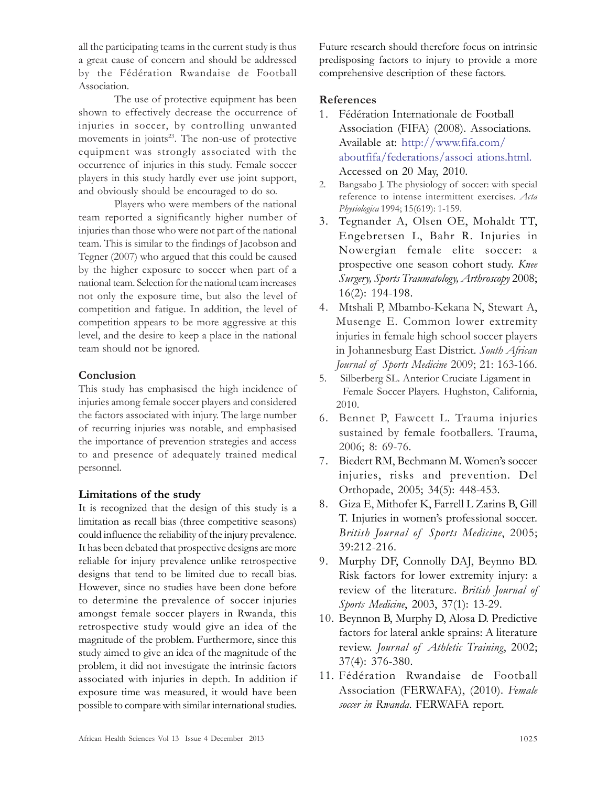all the participating teams in the current study is thus a great cause of concern and should be addressed by the Fédération Rwandaise de Football Association.

The use of protective equipment has been shown to effectively decrease the occurrence of injuries in soccer, by controlling unwanted movements in joints $23$ . The non-use of protective equipment was strongly associated with the occurrence of injuries in this study. Female soccer players in this study hardly ever use joint support, and obviously should be encouraged to do so.

Players who were members of the national team reported a significantly higher number of injuries than those who were not part of the national team. This is similar to the findings of Jacobson and Tegner (2007) who argued that this could be caused by the higher exposure to soccer when part of a national team. Selection for the national team increases not only the exposure time, but also the level of competition and fatigue. In addition, the level of competition appears to be more aggressive at this level, and the desire to keep a place in the national team should not be ignored.

# Conclusion

This study has emphasised the high incidence of injuries among female soccer players and considered the factors associated with injury. The large number of recurring injuries was notable, and emphasised the importance of prevention strategies and access to and presence of adequately trained medical personnel.

# Limitations of the study

It is recognized that the design of this study is a limitation as recall bias (three competitive seasons) could influence the reliability of the injury prevalence. It has been debated that prospective designs are more reliable for injury prevalence unlike retrospective designs that tend to be limited due to recall bias. However, since no studies have been done before to determine the prevalence of soccer injuries amongst female soccer players in Rwanda, this retrospective study would give an idea of the magnitude of the problem. Furthermore, since this study aimed to give an idea of the magnitude of the problem, it did not investigate the intrinsic factors associated with injuries in depth. In addition if exposure time was measured, it would have been possible to compare with similar international studies.

Future research should therefore focus on intrinsic predisposing factors to injury to provide a more comprehensive description of these factors.

## References

- 1. Fédération Internationale de Football Association (FIFA) (2008). Associations. Available at: http://www.fifa.com/ aboutfifa/federations/associ ations.html. Accessed on 20 May, 2010.
- 2. Bangsabo J. The physiology of soccer: with special reference to intense intermittent exercises. Acta Physiologica 1994; 15(619): 1-159.
- 3. Tegnander A, Olsen OE, Mohaldt TT, Engebretsen L, Bahr R. Injuries in Nowergian female elite soccer: a prospective one season cohort study. Knee Surgery, Sports Traumatology, Arthroscopy 2008; 16(2): 194-198.
- 4. Mtshali P, Mbambo-Kekana N, Stewart A, Musenge E. Common lower extremity injuries in female high school soccer players in Johannesburg East District. South African Journal of Sports Medicine 2009; 21: 163-166.
- 5. Silberberg SL. Anterior Cruciate Ligament in Female Soccer Players. Hughston, California, 2010.
- 6. Bennet P, Fawcett L. Trauma injuries sustained by female footballers. Trauma, 2006; 8: 69-76.
- 7. Biedert RM, Bechmann M. Women's soccer injuries, risks and prevention. Del Orthopade, 2005; 34(5): 448-453.
- 8. Giza E, Mithofer K, Farrell L Zarins B, Gill T. Injuries in women's professional soccer. British Journal of Sports Medicine, 2005; 39:212-216.
- 9. Murphy DF, Connolly DAJ, Beynno BD. Risk factors for lower extremity injury: a review of the literature. British Journal of Sports Medicine, 2003, 37(1): 13-29.
- 10. Beynnon B, Murphy D, Alosa D. Predictive factors for lateral ankle sprains: A literature review. Journal of Athletic Training, 2002; 37(4): 376-380.
- 11. Fédération Rwandaise de Football Association (FERWAFA), (2010). Female soccer in Rwanda. FERWAFA report.